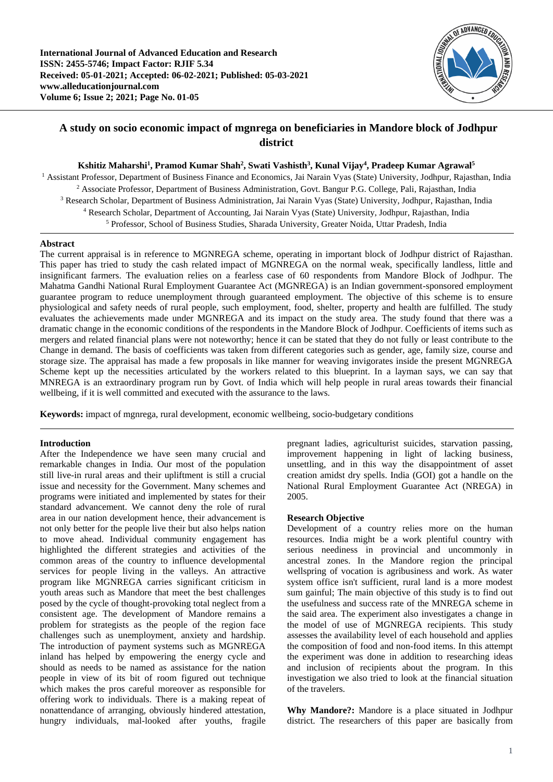

# **A study on socio economic impact of mgnrega on beneficiaries in Mandore block of Jodhpur district**

**Kshitiz Maharshi<sup>1</sup> , Pramod Kumar Shah<sup>2</sup> , Swati Vashisth<sup>3</sup> , Kunal Vijay<sup>4</sup> , Pradeep Kumar Agrawal<sup>5</sup>**

<sup>1</sup> Assistant Professor, Department of Business Finance and Economics, Jai Narain Vyas (State) University, Jodhpur, Rajasthan, India <sup>2</sup> Associate Professor, Department of Business Administration, Govt. Bangur P.G. College, Pali, Rajasthan, India <sup>3</sup> Research Scholar, Department of Business Administration, Jai Narain Vyas (State) University, Jodhpur, Rajasthan, India <sup>4</sup> Research Scholar, Department of Accounting, Jai Narain Vyas (State) University, Jodhpur, Rajasthan, India <sup>5</sup> Professor, School of Business Studies, Sharada University, Greater Noida, Uttar Pradesh, India

## **Abstract**

The current appraisal is in reference to MGNREGA scheme, operating in important block of Jodhpur district of Rajasthan. This paper has tried to study the cash related impact of MGNREGA on the normal weak, specifically landless, little and insignificant farmers. The evaluation relies on a fearless case of 60 respondents from Mandore Block of Jodhpur. The Mahatma Gandhi National Rural Employment Guarantee Act (MGNREGA) is an Indian government-sponsored employment guarantee program to reduce unemployment through guaranteed employment. The objective of this scheme is to ensure physiological and safety needs of rural people, such employment, food, shelter, property and health are fulfilled. The study evaluates the achievements made under MGNREGA and its impact on the study area. The study found that there was a dramatic change in the economic conditions of the respondents in the Mandore Block of Jodhpur. Coefficients of items such as mergers and related financial plans were not noteworthy; hence it can be stated that they do not fully or least contribute to the Change in demand. The basis of coefficients was taken from different categories such as gender, age, family size, course and storage size. The appraisal has made a few proposals in like manner for weaving invigorates inside the present MGNREGA Scheme kept up the necessities articulated by the workers related to this blueprint. In a layman says, we can say that MNREGA is an extraordinary program run by Govt. of India which will help people in rural areas towards their financial wellbeing, if it is well committed and executed with the assurance to the laws.

**Keywords:** impact of mgnrega, rural development, economic wellbeing, socio-budgetary conditions

#### **Introduction**

After the Independence we have seen many crucial and remarkable changes in India. Our most of the population still live-in rural areas and their upliftment is still a crucial issue and necessity for the Government. Many schemes and programs were initiated and implemented by states for their standard advancement. We cannot deny the role of rural area in our nation development hence, their advancement is not only better for the people live their but also helps nation to move ahead. Individual community engagement has highlighted the different strategies and activities of the common areas of the country to influence developmental services for people living in the valleys. An attractive program like MGNREGA carries significant criticism in youth areas such as Mandore that meet the best challenges posed by the cycle of thought-provoking total neglect from a consistent age. The development of Mandore remains a problem for strategists as the people of the region face challenges such as unemployment, anxiety and hardship. The introduction of payment systems such as MGNREGA inland has helped by empowering the energy cycle and should as needs to be named as assistance for the nation people in view of its bit of room figured out technique which makes the pros careful moreover as responsible for offering work to individuals. There is a making repeat of nonattendance of arranging, obviously hindered attestation, hungry individuals, mal-looked after youths, fragile

pregnant ladies, agriculturist suicides, starvation passing, improvement happening in light of lacking business, unsettling, and in this way the disappointment of asset creation amidst dry spells. India (GOI) got a handle on the National Rural Employment Guarantee Act (NREGA) in 2005.

### **Research Objective**

Development of a country relies more on the human resources. India might be a work plentiful country with serious neediness in provincial and uncommonly in ancestral zones. In the Mandore region the principal wellspring of vocation is agribusiness and work. As water system office isn't sufficient, rural land is a more modest sum gainful; The main objective of this study is to find out the usefulness and success rate of the MNREGA scheme in the said area. The experiment also investigates a change in the model of use of MGNREGA recipients. This study assesses the availability level of each household and applies the composition of food and non-food items. In this attempt the experiment was done in addition to researching ideas and inclusion of recipients about the program. In this investigation we also tried to look at the financial situation of the travelers.

**Why Mandore?:** Mandore is a place situated in Jodhpur district. The researchers of this paper are basically from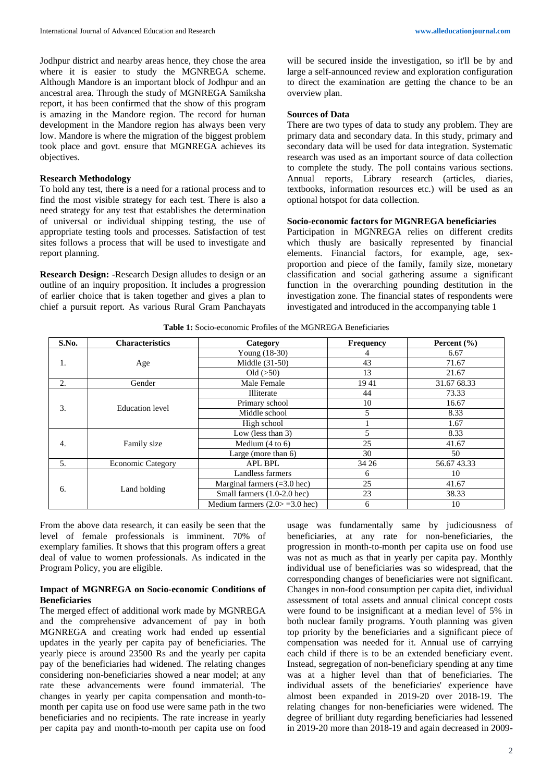Jodhpur district and nearby areas hence, they chose the area where it is easier to study the MGNREGA scheme. Although Mandore is an important block of Jodhpur and an ancestral area. Through the study of MGNREGA Samiksha report, it has been confirmed that the show of this program is amazing in the Mandore region. The record for human development in the Mandore region has always been very low. Mandore is where the migration of the biggest problem took place and govt. ensure that MGNREGA achieves its objectives.

### **Research Methodology**

To hold any test, there is a need for a rational process and to find the most visible strategy for each test. There is also a need strategy for any test that establishes the determination of universal or individual shipping testing, the use of appropriate testing tools and processes. Satisfaction of test sites follows a process that will be used to investigate and report planning.

**Research Design:** -Research Design alludes to design or an outline of an inquiry proposition. It includes a progression of earlier choice that is taken together and gives a plan to chief a pursuit report. As various Rural Gram Panchayats

will be secured inside the investigation, so it'll be by and large a self-announced review and exploration configuration to direct the examination are getting the chance to be an overview plan.

#### **Sources of Data**

There are two types of data to study any problem. They are primary data and secondary data. In this study, primary and secondary data will be used for data integration. Systematic research was used as an important source of data collection to complete the study. The poll contains various sections. Annual reports, Library research (articles, diaries, textbooks, information resources etc.) will be used as an optional hotspot for data collection.

#### **Socio-economic factors for MGNREGA beneficiaries**

Participation in MGNREGA relies on different credits which thusly are basically represented by financial elements. Financial factors, for example, age, sexproportion and piece of the family, family size, monetary classification and social gathering assume a significant function in the overarching pounding destitution in the investigation zone. The financial states of respondents were investigated and introduced in the accompanying table 1

|       |                          | <b>THEIR TO BOOTH COMMUNICATION IN THE INTERNATIONAL DURICITY INTO THE INTERNATION</b> |                  |                 |
|-------|--------------------------|----------------------------------------------------------------------------------------|------------------|-----------------|
| S.No. | <b>Characteristics</b>   | Category                                                                               | <b>Frequency</b> | Percent $(\% )$ |
|       |                          | Young (18-30)                                                                          | 4                | 6.67            |
| 1.    | Age                      | Middle (31-50)                                                                         | 43               | 71.67           |
|       |                          | $Old \left( >50 \right)$                                                               | 13               | 21.67           |
| 2.    | Gender                   | Male Female                                                                            | 1941             | 31.67 68.33     |
|       |                          | Illiterate                                                                             | 44               | 73.33           |
| 3.    | <b>Education</b> level   | Primary school                                                                         | 10               | 16.67           |
|       |                          | Middle school                                                                          | 5                | 8.33            |
|       |                          | High school                                                                            |                  | 1.67            |
|       |                          | Low (less than $3$ )                                                                   | 5                | 8.33            |
| 4.    | Family size              | Medium $(4 \text{ to } 6)$                                                             | 25               | 41.67           |
|       |                          | Large (more than $6$ )                                                                 | 30               | 50              |
| 5.    | <b>Economic Category</b> | <b>APL BPL</b>                                                                         | 34 26            | 56.6743.33      |
|       |                          | Landless farmers                                                                       | 6                | 10              |
| 6.    |                          | Marginal farmers $(=3.0$ hec)                                                          | 25               | 41.67           |
|       | Land holding             | Small farmers (1.0-2.0 hec)                                                            | 23               | 38.33           |
|       |                          | Medium farmers $(2.0 > = 3.0$ hec)                                                     | 6                | 10              |

**Table 1:** Socio-economic Profiles of the MGNREGA Beneficiaries

From the above data research, it can easily be seen that the level of female professionals is imminent. 70% of exemplary families. It shows that this program offers a great deal of value to women professionals. As indicated in the Program Policy, you are eligible.

#### **Impact of MGNREGA on Socio-economic Conditions of Beneficiaries**

The merged effect of additional work made by MGNREGA and the comprehensive advancement of pay in both MGNREGA and creating work had ended up essential updates in the yearly per capita pay of beneficiaries. The yearly piece is around 23500 Rs and the yearly per capita pay of the beneficiaries had widened. The relating changes considering non-beneficiaries showed a near model; at any rate these advancements were found immaterial. The changes in yearly per capita compensation and month-tomonth per capita use on food use were same path in the two beneficiaries and no recipients. The rate increase in yearly per capita pay and month-to-month per capita use on food

usage was fundamentally same by judiciousness of beneficiaries, at any rate for non-beneficiaries, the progression in month-to-month per capita use on food use was not as much as that in yearly per capita pay. Monthly individual use of beneficiaries was so widespread, that the corresponding changes of beneficiaries were not significant. Changes in non-food consumption per capita diet, individual assessment of total assets and annual clinical concept costs were found to be insignificant at a median level of 5% in both nuclear family programs. Youth planning was given top priority by the beneficiaries and a significant piece of compensation was needed for it. Annual use of carrying each child if there is to be an extended beneficiary event. Instead, segregation of non-beneficiary spending at any time was at a higher level than that of beneficiaries. The individual assets of the beneficiaries' experience have almost been expanded in 2019-20 over 2018-19. The relating changes for non-beneficiaries were widened. The degree of brilliant duty regarding beneficiaries had lessened in 2019-20 more than 2018-19 and again decreased in 2009-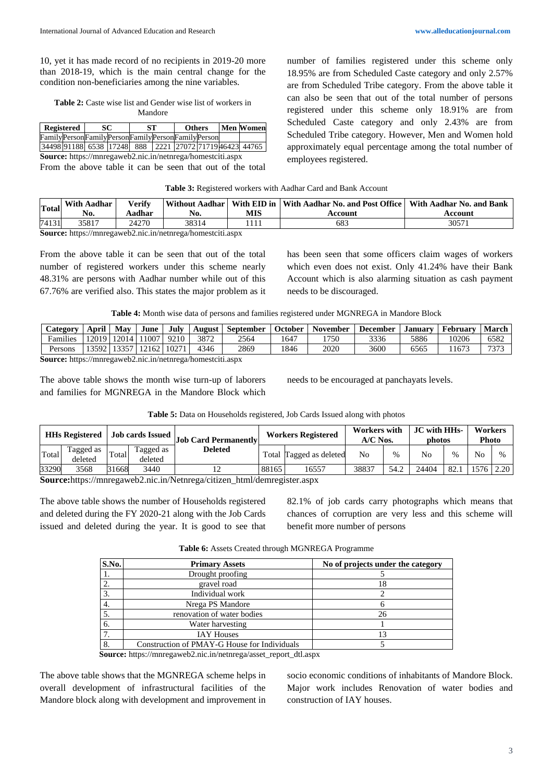10, yet it has made record of no recipients in 2019-20 more than 2018-19, which is the main central change for the condition non-beneficiaries among the nine variables.

**Table 2:** Caste wise list and Gender wise list of workers in Mandore

|                                                  | Registered | SC. | SТ | <b>Others</b> |  | <b>Men Women</b>                                        |
|--------------------------------------------------|------------|-----|----|---------------|--|---------------------------------------------------------|
| FamilyPersonFamilyPersonFamilyPersonFamilyPerson |            |     |    |               |  |                                                         |
|                                                  |            |     |    |               |  | 34498 91188 6538 17248 888 2221 27072 71719 46423 44765 |

**Source:** https://mnregaweb2.nic.in/netnrega/homestciti.aspx

From the above table it can be seen that out of the total

number of families registered under this scheme only 18.95% are from Scheduled Caste category and only 2.57% are from Scheduled Tribe category. From the above table it can also be seen that out of the total number of persons registered under this scheme only 18.91% are from Scheduled Caste category and only 2.43% are from Scheduled Tribe category. However, Men and Women hold approximately equal percentage among the total number of employees registered.

| Table 3: Registered workers with Aadhar Card and Bank Account |  |  |  |  |
|---------------------------------------------------------------|--|--|--|--|
|---------------------------------------------------------------|--|--|--|--|

| <b>Total</b> | <b>With Aadhar</b><br>No. | Verify<br>Aadhar | No.   | MIS | Without Aadhar   With EID in   With Aadhar No. and Post Office   With Aadhar No. and Bank<br>Account | Account |
|--------------|---------------------------|------------------|-------|-----|------------------------------------------------------------------------------------------------------|---------|
| 74131        | 35817                     | 24270            | 38314 |     | 683                                                                                                  | 3057    |

**Source:** https://mnregaweb2.nic.in/netnrega/homestciti.aspx

From the above table it can be seen that out of the total number of registered workers under this scheme nearly 48.31% are persons with Aadhar number while out of this 67.76% are verified also. This states the major problem as it has been seen that some officers claim wages of workers which even does not exist. Only 41.24% have their Bank Account which is also alarming situation as cash payment needs to be discouraged.

**Table 4:** Month wise data of persons and families registered under MGNREGA in Mandore Block

| <b>Category</b>                                                        | April | Mav         | June                 | July | August | September | <b>October</b> | <b>November</b> | <b>December</b> | <b>January</b> | February | <b>March</b> |
|------------------------------------------------------------------------|-------|-------------|----------------------|------|--------|-----------|----------------|-----------------|-----------------|----------------|----------|--------------|
| Families                                                               | 12019 |             | 12014   11007   9210 |      | 3872   | 2564      | .647           | 1750            | 3336            | 5886           | 10206    | 6582         |
| Persons                                                                |       | 13592 13357 | '   12162   10271    |      | 4346   | 2869      | 1846           | 2020            | 3600            | 6565           | 1673     | 7373         |
| Compas bitur //www.com -10 str.to/without -1 line -1 line -1 little -2 |       |             |                      |      |        |           |                |                 |                 |                |          |              |

**Source:** https://mnregaweb2.nic.in/netnrega/homestciti.aspx

The above table shows the month wise turn-up of laborers and families for MGNREGA in the Mandore Block which

needs to be encouraged at panchayats levels.

|  | Table 5: Data on Households registered, Job Cards Issued along with photos |  |  |
|--|----------------------------------------------------------------------------|--|--|
|  |                                                                            |  |  |

|        | <b>HHs Registered</b> |       | <b>Job cards Issued</b> | <b>Job Card Permanently</b> | <b>Workers Registered</b> |                   | <b>Workers</b> with<br>$A/C$ Nos. |      | JC with HHs-<br>photos |               | <b>Workers</b><br><b>Photo</b> |      |
|--------|-----------------------|-------|-------------------------|-----------------------------|---------------------------|-------------------|-----------------------------------|------|------------------------|---------------|--------------------------------|------|
| Total  | Tagged as<br>deleted  | Total | Tagged as<br>deleted    | <b>Deleted</b>              | Total                     | Tagged as deleted | No                                | %    | No                     | $\frac{0}{6}$ | No                             | $\%$ |
| 33290  | 3568                  | 31668 | 3440                    | ∸                           | 88165                     | 16557             | 38837                             | 54.2 | 24404                  | 82.1          | 576                            | 2.20 |
| $\sim$ |                       |       |                         | $\cdots$                    |                           |                   |                                   |      |                        |               |                                |      |

**Source:**https://mnregaweb2.nic.in/Netnrega/citizen\_html/demregister.aspx

The above table shows the number of Households registered and deleted during the FY 2020-21 along with the Job Cards issued and deleted during the year. It is good to see that 82.1% of job cards carry photographs which means that chances of corruption are very less and this scheme will benefit more number of persons

**Table 6:** Assets Created through MGNREGA Programme

| S.No. | <b>Primary Assets</b>                        | No of projects under the category |
|-------|----------------------------------------------|-----------------------------------|
|       | Drought proofing                             |                                   |
| 2.    | gravel road                                  | 18                                |
| 3.    | Individual work                              |                                   |
| 4.    | Nrega PS Mandore                             |                                   |
| 5.    | renovation of water bodies                   | 26                                |
| 6.    | Water harvesting                             |                                   |
| 7.    | <b>IAY Houses</b>                            | 13                                |
| 8.    | Construction of PMAY-G House for Individuals |                                   |

**Source:** https://mnregaweb2.nic.in/netnrega/asset\_report\_dtl.aspx

The above table shows that the MGNREGA scheme helps in overall development of infrastructural facilities of the Mandore block along with development and improvement in

socio economic conditions of inhabitants of Mandore Block. Major work includes Renovation of water bodies and construction of IAY houses.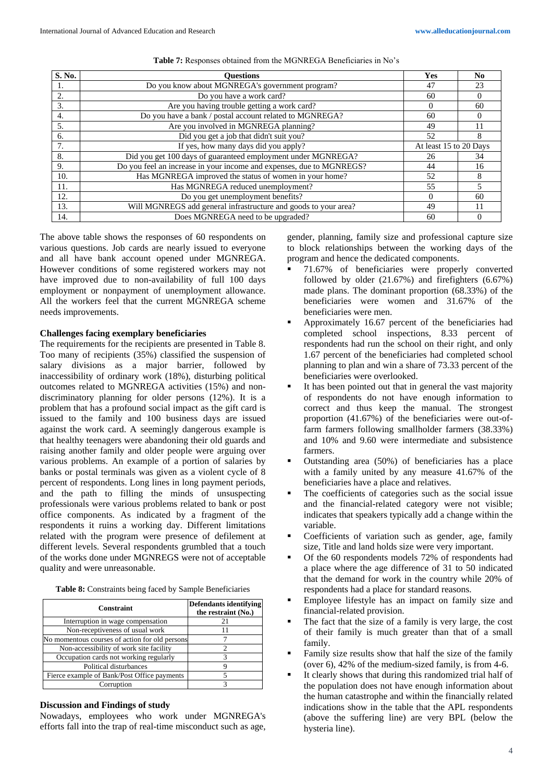| S. No. | <b>Ouestions</b>                                                     | Yes                    | N <sub>0</sub> |
|--------|----------------------------------------------------------------------|------------------------|----------------|
|        | Do you know about MGNREGA's government program?                      | 47                     | 23             |
| 2.     | Do you have a work card?                                             | 60                     |                |
| 3.     | Are you having trouble getting a work card?                          | $\Omega$               | 60             |
| 4.     | Do you have a bank / postal account related to MGNREGA?              | 60                     |                |
| 5.     | Are you involved in MGNREGA planning?                                | 49                     |                |
| 6.     | Did you get a job that didn't suit you?                              | 52                     | ŏ              |
| 7.     | If yes, how many days did you apply?                                 | At least 15 to 20 Days |                |
| 8.     | Did you get 100 days of guaranteed employment under MGNREGA?         | 26                     | 34             |
| 9.     | Do you feel an increase in your income and expenses, due to MGNREGS? | 44                     | 16             |
| 10.    | Has MGNREGA improved the status of women in your home?               | 52                     |                |
| 11.    | Has MGNREGA reduced unemployment?                                    | 55                     |                |
| 12.    | Do you get unemployment benefits?                                    |                        | 60             |
| 13.    | Will MGNREGS add general infrastructure and goods to your area?      | 49                     |                |
| 14.    | Does MGNREGA need to be upgraded?                                    | 60                     |                |

The above table shows the responses of 60 respondents on various questions. Job cards are nearly issued to everyone and all have bank account opened under MGNREGA. However conditions of some registered workers may not have improved due to non-availability of full 100 days employment or nonpayment of unemployment allowance. All the workers feel that the current MGNREGA scheme needs improvements.

#### **Challenges facing exemplary beneficiaries**

The requirements for the recipients are presented in Table 8. Too many of recipients (35%) classified the suspension of salary divisions as a major barrier, followed by inaccessibility of ordinary work (18%), disturbing political outcomes related to MGNREGA activities (15%) and nondiscriminatory planning for older persons (12%). It is a problem that has a profound social impact as the gift card is issued to the family and 100 business days are issued against the work card. A seemingly dangerous example is that healthy teenagers were abandoning their old guards and raising another family and older people were arguing over various problems. An example of a portion of salaries by banks or postal terminals was given as a violent cycle of 8 percent of respondents. Long lines in long payment periods, and the path to filling the minds of unsuspecting professionals were various problems related to bank or post office components. As indicated by a fragment of the respondents it ruins a working day. Different limitations related with the program were presence of defilement at different levels. Several respondents grumbled that a touch of the works done under MGNREGS were not of acceptable quality and were unreasonable.

| <b>Table 8:</b> Constraints being faced by Sample Beneficiaries |  |  |  |
|-----------------------------------------------------------------|--|--|--|
|                                                                 |  |  |  |

| Constraint                                     | <b>Defendants identifying</b><br>the restraint (No.) |
|------------------------------------------------|------------------------------------------------------|
| Interruption in wage compensation              |                                                      |
| Non-receptiveness of usual work                |                                                      |
| No momentous courses of action for old persons |                                                      |
| Non-accessibility of work site facility        |                                                      |
| Occupation cards not working regularly         |                                                      |
| Political disturbances                         |                                                      |
| Fierce example of Bank/Post Office payments    |                                                      |
| Corruption                                     |                                                      |

### **Discussion and Findings of study**

Nowadays, employees who work under MGNREGA's efforts fall into the trap of real-time misconduct such as age,

gender, planning, family size and professional capture size to block relationships between the working days of the program and hence the dedicated components.

- 71.67% of beneficiaries were properly converted followed by older (21.67%) and firefighters (6.67%) made plans. The dominant proportion (68.33%) of the beneficiaries were women and 31.67% of the beneficiaries were men.
- Approximately 16.67 percent of the beneficiaries had completed school inspections, 8.33 percent of respondents had run the school on their right, and only 1.67 percent of the beneficiaries had completed school planning to plan and win a share of 73.33 percent of the beneficiaries were overlooked.
- It has been pointed out that in general the vast majority of respondents do not have enough information to correct and thus keep the manual. The strongest proportion (41.67%) of the beneficiaries were out-offarm farmers following smallholder farmers (38.33%) and 10% and 9.60 were intermediate and subsistence farmers.
- Outstanding area (50%) of beneficiaries has a place with a family united by any measure 41.67% of the beneficiaries have a place and relatives.
- The coefficients of categories such as the social issue and the financial-related category were not visible; indicates that speakers typically add a change within the variable.
- Coefficients of variation such as gender, age, family size, Title and land holds size were very important.
- Of the 60 respondents models 72% of respondents had a place where the age difference of 31 to 50 indicated that the demand for work in the country while 20% of respondents had a place for standard reasons.
- Employee lifestyle has an impact on family size and financial-related provision.
- The fact that the size of a family is very large, the cost of their family is much greater than that of a small family.
- Family size results show that half the size of the family (over 6), 42% of the medium-sized family, is from 4-6.
- It clearly shows that during this randomized trial half of the population does not have enough information about the human catastrophe and within the financially related indications show in the table that the APL respondents (above the suffering line) are very BPL (below the hysteria line).